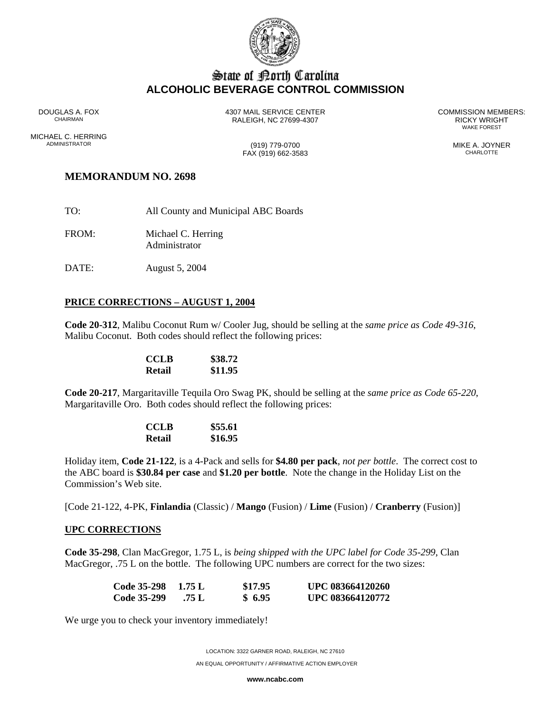

## State of Borth Carolina **ALCOHOLIC BEVERAGE CONTROL COMMISSION**

DOUGLAS A. FOX 4307 MAIL SERVICE CENTER COMMISSION MEMBERS: RALEIGH, NC 27699-4307 RICKY WRIGHT RALEIGH, NC 27699-4307

WAKE FOREST

ADMINISTRATOR (919) 779-0700 MIKE A. JOYNER

# MICHAEL C. HERRING<br>ADMINISTRATOR

 $FAX (919) 662-3583$ 

## **MEMORANDUM NO. 2698**

- TO: All County and Municipal ABC Boards
- FROM: Michael C. Herring Administrator
- DATE: August 5, 2004

#### **PRICE CORRECTIONS – AUGUST 1, 2004**

**Code 20-312**, Malibu Coconut Rum w/ Cooler Jug, should be selling at the *same price as Code 49-316*, Malibu Coconut. Both codes should reflect the following prices:

| <b>CCLB</b> | \$38.72 |
|-------------|---------|
| Retail      | \$11.95 |

**Code 20-217**, Margaritaville Tequila Oro Swag PK, should be selling at the *same price as Code 65-220*, Margaritaville Oro. Both codes should reflect the following prices:

| <b>CCLB</b> | \$55.61 |
|-------------|---------|
| Retail      | \$16.95 |

Holiday item, **Code 21-122**, is a 4-Pack and sells for **\$4.80 per pack**, *not per bottle*. The correct cost to the ABC board is **\$30.84 per case** and **\$1.20 per bottle**. Note the change in the Holiday List on the Commission's Web site.

[Code 21-122, 4-PK, **Finlandia** (Classic) / **Mango** (Fusion) / **Lime** (Fusion) / **Cranberry** (Fusion)]

#### **UPC CORRECTIONS**

**Code 35-298**, Clan MacGregor, 1.75 L, is *being shipped with the UPC label for Code 35-299*, Clan MacGregor, .75 L on the bottle. The following UPC numbers are correct for the two sizes:

| <b>Code 35-298</b> | 1.75 L | \$17.95 | UPC 083664120260 |
|--------------------|--------|---------|------------------|
| Code 35-299        | .75 L  | \$6.95  | UPC 083664120772 |

We urge you to check your inventory immediately!

LOCATION: 3322 GARNER ROAD, RALEIGH, NC 27610 AN EQUAL OPPORTUNITY / AFFIRMATIVE ACTION EMPLOYER

**www.ncabc.com**